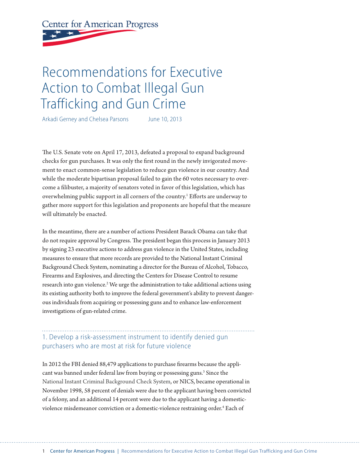# **Center for American Progress**

## Recommendations for Executive Action to Combat Illegal Gun Trafficking and Gun Crime

Arkadi Gerney and Chelsea Parsons June 10, 2013

The U.S. Senate vote on April 17, 2013, defeated a proposal to expand background checks for gun purchases. It was only the first round in the newly invigorated movement to enact common-sense legislation to reduce gun violence in our country. And while the moderate bipartisan proposal failed to gain the 60 votes necessary to overcome a filibuster, a majority of senators voted in favor of this legislation, which has overwhelming public support in all corners of the country.<sup>1</sup> Efforts are underway to gather more support for this legislation and proponents are hopeful that the measure will ultimately be enacted.

In the meantime, there are a number of actions President Barack Obama can take that do not require approval by Congress. The president began this process in January 2013 by signing 23 executive actions to address gun violence in the United States, including measures to ensure that more records are provided to the National Instant Criminal Background Check System, nominating a director for the Bureau of Alcohol, Tobacco, Firearms and Explosives, and directing the Centers for Disease Control to resume research into gun violence.<sup>2</sup> We urge the administration to take additional actions using its existing authority both to improve the federal government's ability to prevent dangerous individuals from acquiring or possessing guns and to enhance law-enforcement investigations of gun-related crime.

## 1. Develop a risk-assessment instrument to identify denied gun purchasers who are most at risk for future violence

In 2012 the FBI denied 88,479 applications to purchase firearms because the applicant was banned under federal law from buying or possessing guns.<sup>3</sup> Since the National Instant Criminal Background Check System, or NICS, became operational in November 1998, 58 percent of denials were due to the applicant having been convicted of a felony, and an additional 14 percent were due to the applicant having a domesticviolence misdemeanor conviction or a domestic-violence restraining order.<sup>4</sup> Each of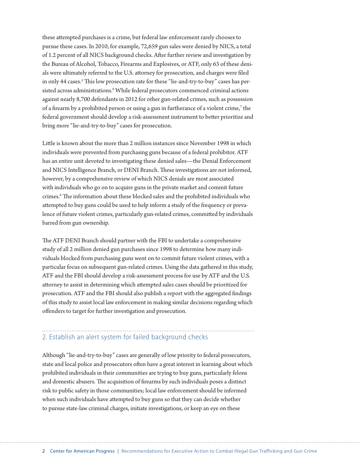these attempted purchases is a crime, but federal law enforcement rarely chooses to pursue these cases. In 2010, for example, 72,659 gun sales were denied by NICS, a total of 1.2 percent of all NICS background checks. After further review and investigation by the Bureau of Alcohol, Tobacco, Firearms and Explosives, or ATF, only 63 of these denials were ultimately referred to the U.S. attorney for prosecution, and charges were filed in only 44 cases.<sup>5</sup> This low prosecution rate for these "lie-and-try-to-buy" cases has persisted across administrations.<sup>6</sup> While federal prosecutors commenced criminal actions against nearly 8,700 defendants in 2012 for other gun-related crimes, such as possession of a firearm by a prohibited person or using a gun in furtherance of a violent crime,<sup>7</sup> the federal government should develop a risk-assessment instrument to better prioritize and bring more "lie-and-try-to-buy" cases for prosecution.

Little is known about the more than 2 million instances since November 1998 in which individuals were prevented from purchasing guns because of a federal prohibitor. ATF has an entire unit devoted to investigating these denied sales—the Denial Enforcement and NICS Intelligence Branch, or DENI Branch. These investigations are not informed, however, by a comprehensive review of which NICS denials are most associated with individuals who go on to acquire guns in the private market and commit future crimes.8 The information about these blocked sales and the prohibited individuals who attempted to buy guns could be used to help inform a study of the frequency or prevalence of future violent crimes, particularly gun-related crimes, committed by individuals barred from gun ownership.

The ATF DENI Branch should partner with the FBI to undertake a comprehensive study of all 2 million denied gun purchases since 1998 to determine how many individuals blocked from purchasing guns went on to commit future violent crimes, with a particular focus on subsequent gun-related crimes. Using the data gathered in this study, ATF and the FBI should develop a risk-assessment process for use by ATF and the U.S. attorney to assist in determining which attempted sales cases should be prioritized for prosecution. ATF and the FBI should also publish a report with the aggregated findings of this study to assist local law enforcement in making similar decisions regarding which offenders to target for further investigation and prosecution.

## 2. Establish an alert system for failed background checks

Although "lie-and-try-to-buy" cases are generally of low priority to federal prosecutors, state and local police and prosecutors often have a great interest in learning about which prohibited individuals in their communities are trying to buy guns, particularly felons and domestic abusers. The acquisition of firearms by such individuals poses a distinct risk to public safety in those communities; local law enforcement should be informed when such individuals have attempted to buy guns so that they can decide whether to pursue state-law criminal charges, initiate investigations, or keep an eye on these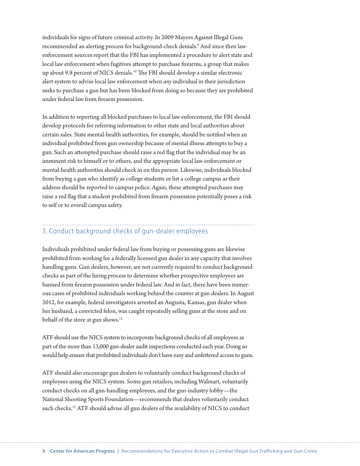individuals for signs of future criminal activity. In 2009 Mayors Against Illegal Guns recommended an alerting process for background-check denials.9 And since then lawenforcement sources report that the FBI has implemented a procedure to alert state and local law enforcement when fugitives attempt to purchase firearms, a group that makes up about 9.8 percent of NICS denials.10 The FBI should develop a similar electronic alert system to advise local law enforcement when *any* individual in their jurisdiction seeks to purchase a gun but has been blocked from doing so because they are prohibited under federal law from firearm possession.

In addition to reporting all blocked purchases to local law enforcement, the FBI should develop protocols for referring information to other state and local authorities about certain sales. State mental-health authorities, for example, should be notified when an individual prohibited from gun ownership because of mental illness attempts to buy a gun. Such an attempted purchase should raise a red flag that the individual may be an imminent risk to himself or to others, and the appropriate local law-enforcement or mental-health authorities should check in on this person. Likewise, individuals blocked from buying a gun who identify as college students or list a college campus as their address should be reported to campus police. Again, these attempted purchases may raise a red flag that a student prohibited from firearm possession potentially poses a risk to self or to overall campus safety.

## 3. Conduct background checks of gun-dealer employees

Individuals prohibited under federal law from buying or possessing guns are likewise prohibited from working for a federally licensed gun dealer in any capacity that involves handling guns. Gun dealers, however, are not currently required to conduct background checks as part of the hiring process to determine whether prospective employees are banned from firearm possession under federal law. And in fact, there have been numerous cases of prohibited individuals working behind the counter at gun dealers. In August 2012, for example, federal investigators arrested an Augusta, Kansas, gun dealer when her husband, a convicted felon, was caught repeatedly selling guns at the store and on behalf of the store at gun shows.<sup>11</sup>

ATF should use the NICS system to incorporate background checks of all employees as part of the more than 13,000 gun-dealer audit inspections conducted each year. Doing so would help ensure that prohibited individuals don't have easy and unfettered access to guns.

ATF should also encourage gun dealers to voluntarily conduct background checks of employees using the NICS system. Some gun retailers, including Walmart, voluntarily conduct checks on all gun-handling employees, and the gun-industry lobby—the National Shooting Sports Foundation—recommends that dealers voluntarily conduct such checks.<sup>12</sup> ATF should advise all gun dealers of the availability of NICS to conduct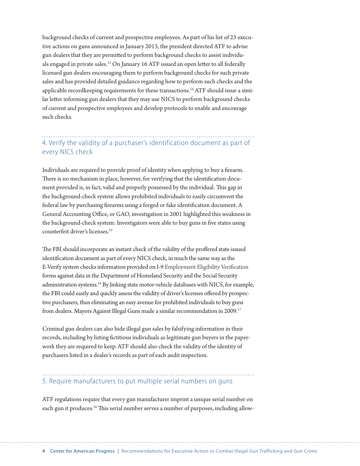background checks of current and prospective employees. As part of his list of 23 executive actions on guns announced in January 2013, the president directed ATF to advise gun dealers that they are permitted to perform background checks to assist individuals engaged in private sales.<sup>13</sup> On January 16 ATF issued an open letter to all federally licensed gun dealers encouraging them to perform background checks for such private sales and has provided detailed guidance regarding how to perform such checks and the applicable recordkeeping requirements for these transactions.<sup>14</sup> ATF should issue a similar letter informing gun dealers that they may use NICS to perform background checks of current and prospective employees and develop protocols to enable and encourage such checks.

## 4. Verify the validity of a purchaser's identification document as part of every NICS check

Individuals are required to provide proof of identity when applying to buy a firearm. There is no mechanism in place, however, for verifying that the identification document provided is, in fact, valid and properly possessed by the individual. This gap in the background-check system allows prohibited individuals to easily circumvent the federal law by purchasing firearms using a forged or fake identification document. A General Accounting Office, or GAO, investigation in 2001 highlighted this weakness in the background-check system: Investigators were able to buy guns in five states using counterfeit driver's licenses.15

The FBI should incorporate an instant check of the validity of the proffered state-issued identification document as part of every NICS check, in much the same way as the E-Verify system checks information provided on I-9 Employment Eligibility Verification forms against data in the Department of Homeland Security and the Social Security administration systems.<sup>16</sup> By linking state motor-vehicle databases with NICS, for example, the FBI could easily and quickly assess the validity of driver's licenses offered by prospective purchasers, thus eliminating an easy avenue for prohibited individuals to buy guns from dealers. Mayors Against Illegal Guns made a similar recommendation in 2009.<sup>17</sup>

Criminal gun dealers can also hide illegal gun sales by falsifying information in their records, including by listing fictitious individuals as legitimate gun buyers in the paperwork they are required to keep. ATF should also check the validity of the identity of purchasers listed in a dealer's records as part of each audit inspection.

## 5. Require manufacturers to put multiple serial numbers on guns

ATF regulations require that every gun manufacturer imprint a unique serial number on each gun it produces.<sup>18</sup> This serial number serves a number of purposes, including allow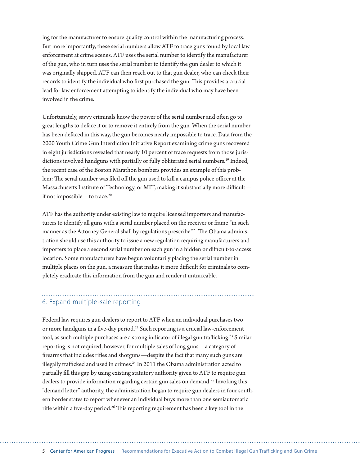ing for the manufacturer to ensure quality control within the manufacturing process. But more importantly, these serial numbers allow ATF to trace guns found by local law enforcement at crime scenes. ATF uses the serial number to identify the manufacturer of the gun, who in turn uses the serial number to identify the gun dealer to which it was originally shipped. ATF can then reach out to that gun dealer, who can check their records to identify the individual who first purchased the gun. This provides a crucial lead for law enforcement attempting to identify the individual who may have been involved in the crime.

Unfortunately, savvy criminals know the power of the serial number and often go to great lengths to deface it or to remove it entirely from the gun. When the serial number has been defaced in this way, the gun becomes nearly impossible to trace. Data from the 2000 Youth Crime Gun Interdiction Initiative Report examining crime guns recovered in eight jurisdictions revealed that nearly 10 percent of trace requests from those jurisdictions involved handguns with partially or fully obliterated serial numbers.19 Indeed, the recent case of the Boston Marathon bombers provides an example of this problem: The serial number was filed off the gun used to kill a campus police officer at the Massachusetts Institute of Technology, or MIT, making it substantially more difficult if not impossible—to trace.20

ATF has the authority under existing law to require licensed importers and manufacturers to identify all guns with a serial number placed on the receiver or frame "in such manner as the Attorney General shall by regulations prescribe."21 The Obama administration should use this authority to issue a new regulation requiring manufacturers and importers to place a second serial number on each gun in a hidden or difficult-to-access location. Some manufacturers have begun voluntarily placing the serial number in multiple places on the gun, a measure that makes it more difficult for criminals to completely eradicate this information from the gun and render it untraceable.

#### 6. Expand multiple-sale reporting

Federal law requires gun dealers to report to ATF when an individual purchases two or more handguns in a five-day period.<sup>22</sup> Such reporting is a crucial law-enforcement tool, as such multiple purchases are a strong indicator of illegal gun trafficking.<sup>23</sup> Similar reporting is not required, however, for multiple sales of long guns—a category of firearms that includes rifles and shotguns—despite the fact that many such guns are illegally trafficked and used in crimes.<sup>24</sup> In 2011 the Obama administration acted to partially fill this gap by using existing statutory authority given to ATF to require gun dealers to provide information regarding certain gun sales on demand.25 Invoking this "demand letter" authority, the administration began to require gun dealers in four southern border states to report whenever an individual buys more than one semiautomatic rifle within a five-day period.<sup>26</sup> This reporting requirement has been a key tool in the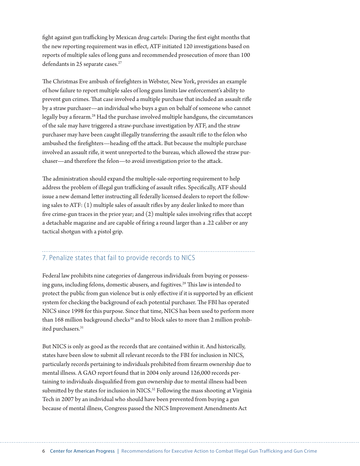fight against gun trafficking by Mexican drug cartels: During the first eight months that the new reporting requirement was in effect, ATF initiated 120 investigations based on reports of multiple sales of long guns and recommended prosecution of more than 100 defendants in 25 separate cases.<sup>27</sup>

The Christmas Eve ambush of firefighters in Webster, New York, provides an example of how failure to report multiple sales of long guns limits law enforcement's ability to prevent gun crimes. That case involved a multiple purchase that included an assault rifle by a straw purchaser—an individual who buys a gun on behalf of someone who cannot legally buy a firearm.28 Had the purchase involved multiple handguns, the circumstances of the sale may have triggered a straw-purchase investigation by ATF, and the straw purchaser may have been caught illegally transferring the assault rifle to the felon who ambushed the firefighters—heading off the attack. But because the multiple purchase involved an assault rifle, it went unreported to the bureau, which allowed the straw purchaser—and therefore the felon—to avoid investigation prior to the attack.

The administration should expand the multiple-sale-reporting requirement to help address the problem of illegal gun trafficking of assault rifles. Specifically, ATF should issue a new demand letter instructing all federally licensed dealers to report the following sales to ATF: (1) multiple sales of assault rifles by any dealer linked to more than five crime-gun traces in the prior year; and (2) multiple sales involving rifles that accept a detachable magazine and are capable of firing a round larger than a .22 caliber or any tactical shotgun with a pistol grip.

#### 7. Penalize states that fail to provide records to NICS

Federal law prohibits nine categories of dangerous individuals from buying or possessing guns, including felons, domestic abusers, and fugitives.29 This law is intended to protect the public from gun violence but is only effective if it is supported by an efficient system for checking the background of each potential purchaser. The FBI has operated NICS since 1998 for this purpose. Since that time, NICS has been used to perform more than 168 million background checks<sup>30</sup> and to block sales to more than 2 million prohibited purchasers.<sup>31</sup>

But NICS is only as good as the records that are contained within it. And historically, states have been slow to submit all relevant records to the FBI for inclusion in NICS, particularly records pertaining to individuals prohibited from firearm ownership due to mental illness. A GAO report found that in 2004 only around 126,000 records pertaining to individuals disqualified from gun ownership due to mental illness had been submitted by the states for inclusion in NICS.<sup>32</sup> Following the mass shooting at Virginia Tech in 2007 by an individual who should have been prevented from buying a gun because of mental illness, Congress passed the NICS Improvement Amendments Act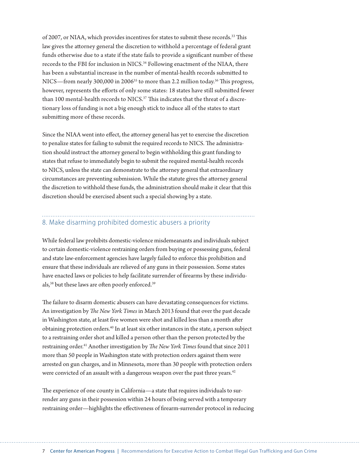of 2007, or NIAA, which provides incentives for states to submit these records.<sup>33</sup> This law gives the attorney general the discretion to withhold a percentage of federal grant funds otherwise due to a state if the state fails to provide a significant number of these records to the FBI for inclusion in NICS.<sup>34</sup> Following enactment of the NIAA, there has been a substantial increase in the number of mental-health records submitted to NICS—from nearly 300,000 in 2006<sup>35</sup> to more than 2.2 million today.<sup>36</sup> This progress, however, represents the efforts of only some states: 18 states have still submitted fewer than 100 mental-health records to NICS.<sup>37</sup> This indicates that the threat of a discretionary loss of funding is not a big enough stick to induce all of the states to start submitting more of these records.

Since the NIAA went into effect, the attorney general has yet to exercise the discretion to penalize states for failing to submit the required records to NICS. The administration should instruct the attorney general to begin withholding this grant funding to states that refuse to immediately begin to submit the required mental-health records to NICS, unless the state can demonstrate to the attorney general that extraordinary circumstances are preventing submission. While the statute gives the attorney general the discretion to withhold these funds, the administration should make it clear that this discretion should be exercised absent such a special showing by a state.

#### 8. Make disarming prohibited domestic abusers a priority

While federal law prohibits domestic-violence misdemeanants and individuals subject to certain domestic-violence restraining orders from buying or possessing guns, federal and state law-enforcement agencies have largely failed to enforce this prohibition and ensure that these individuals are relieved of any guns in their possession. Some states have enacted laws or policies to help facilitate surrender of firearms by these individuals,<sup>38</sup> but these laws are often poorly enforced.<sup>39</sup>

The failure to disarm domestic abusers can have devastating consequences for victims. An investigation by *The New York Times* in March 2013 found that over the past decade in Washington state, at least five women were shot and killed less than a month after obtaining protection orders.40 In at least six other instances in the state, a person subject to a restraining order shot and killed a person other than the person protected by the restraining order.<sup>41</sup> Another investigation by *The New York Times* found that since 2011 more than 50 people in Washington state with protection orders against them were arrested on gun charges, and in Minnesota, more than 30 people with protection orders were convicted of an assault with a dangerous weapon over the past three years.<sup>42</sup>

The experience of one county in California—a state that requires individuals to surrender any guns in their possession within 24 hours of being served with a temporary restraining order—highlights the effectiveness of firearm-surrender protocol in reducing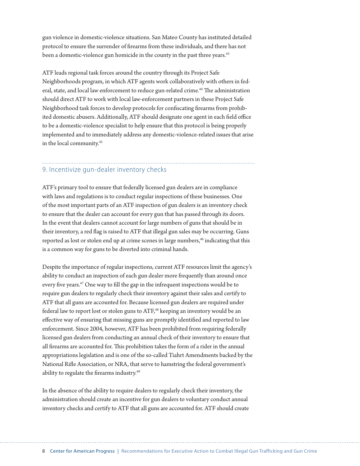gun violence in domestic-violence situations. San Mateo County has instituted detailed protocol to ensure the surrender of firearms from these individuals, and there has not been a domestic-violence gun homicide in the county in the past three years.<sup>43</sup>

ATF leads regional task forces around the country through its Project Safe Neighborhoods program, in which ATF agents work collaboratively with others in federal, state, and local law enforcement to reduce gun-related crime.<sup>44</sup> The administration should direct ATF to work with local law-enforcement partners in these Project Safe Neighborhood task forces to develop protocols for confiscating firearms from prohibited domestic abusers. Additionally, ATF should designate one agent in each field office to be a domestic-violence specialist to help ensure that this protocol is being properly implemented and to immediately address any domestic-violence-related issues that arise in the local community.45

#### 9. Incentivize gun-dealer inventory checks

ATF's primary tool to ensure that federally licensed gun dealers are in compliance with laws and regulations is to conduct regular inspections of these businesses. One of the most important parts of an ATF inspection of gun dealers is an inventory check to ensure that the dealer can account for every gun that has passed through its doors. In the event that dealers cannot account for large numbers of guns that should be in their inventory, a red flag is raised to ATF that illegal gun sales may be occurring. Guns reported as lost or stolen end up at crime scenes in large numbers,<sup>46</sup> indicating that this is a common way for guns to be diverted into criminal hands.

Despite the importance of regular inspections, current ATF resources limit the agency's ability to conduct an inspection of each gun dealer more frequently than around once every five years.<sup>47</sup> One way to fill the gap in the infrequent inspections would be to require gun dealers to regularly check their inventory against their sales and certify to ATF that all guns are accounted for. Because licensed gun dealers are required under federal law to report lost or stolen guns to ATF,<sup>48</sup> keeping an inventory would be an effective way of ensuring that missing guns are promptly identified and reported to law enforcement. Since 2004, however, ATF has been prohibited from requiring federally licensed gun dealers from conducting an annual check of their inventory to ensure that all firearms are accounted for. This prohibition takes the form of a rider in the annual appropriations legislation and is one of the so-called Tiahrt Amendments backed by the National Rifle Association, or NRA, that serve to hamstring the federal government's ability to regulate the firearms industry.<sup>49</sup>

In the absence of the ability to require dealers to regularly check their inventory, the administration should create an incentive for gun dealers to voluntary conduct annual inventory checks and certify to ATF that all guns are accounted for. ATF should create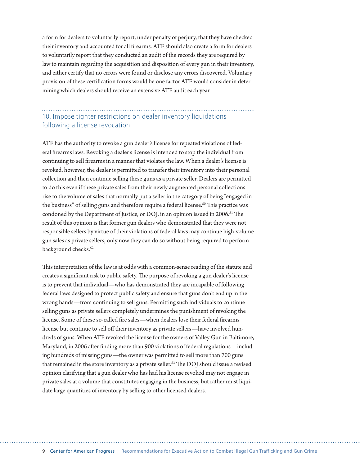a form for dealers to voluntarily report, under penalty of perjury, that they have checked their inventory and accounted for all firearms. ATF should also create a form for dealers to voluntarily report that they conducted an audit of the records they are required by law to maintain regarding the acquisition and disposition of every gun in their inventory, and either certify that no errors were found or disclose any errors discovered. Voluntary provision of these certification forms would be one factor ATF would consider in determining which dealers should receive an extensive ATF audit each year.

### 10. Impose tighter restrictions on dealer inventory liquidations following a license revocation

ATF has the authority to revoke a gun dealer's license for repeated violations of federal firearms laws. Revoking a dealer's license is intended to stop the individual from continuing to sell firearms in a manner that violates the law. When a dealer's license is revoked, however, the dealer is permitted to transfer their inventory into their personal collection and then continue selling these guns as a private seller. Dealers are permitted to do this even if these private sales from their newly augmented personal collections rise to the volume of sales that normally put a seller in the category of being "engaged in the business" of selling guns and therefore require a federal license.<sup>50</sup> This practice was condoned by the Department of Justice, or DOJ, in an opinion issued in 2006.<sup>51</sup> The result of this opinion is that former gun dealers who demonstrated that they were not responsible sellers by virtue of their violations of federal laws may continue high-volume gun sales as private sellers, only now they can do so without being required to perform background checks.<sup>52</sup>

This interpretation of the law is at odds with a common-sense reading of the statute and creates a significant risk to public safety. The purpose of revoking a gun dealer's license is to prevent that individual—who has demonstrated they are incapable of following federal laws designed to protect public safety and ensure that guns don't end up in the wrong hands—from continuing to sell guns. Permitting such individuals to continue selling guns as private sellers completely undermines the punishment of revoking the license. Some of these so-called fire sales—when dealers lose their federal firearms license but continue to sell off their inventory as private sellers—have involved hundreds of guns. When ATF revoked the license for the owners of Valley Gun in Baltimore, Maryland, in 2006 after finding more than 900 violations of federal regulations—including hundreds of missing guns—the owner was permitted to sell more than 700 guns that remained in the store inventory as a private seller.<sup>53</sup> The DOJ should issue a revised opinion clarifying that a gun dealer who has had his license revoked may not engage in private sales at a volume that constitutes engaging in the business, but rather must liquidate large quantities of inventory by selling to other licensed dealers.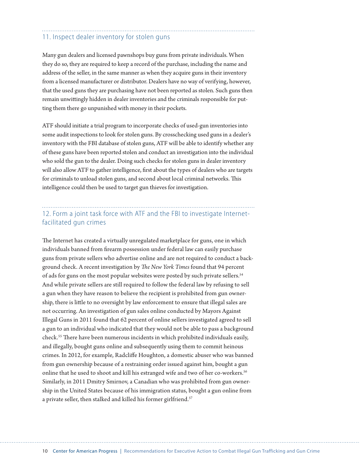#### 11. Inspect dealer inventory for stolen guns

Many gun dealers and licensed pawnshops buy guns from private individuals. When they do so, they are required to keep a record of the purchase, including the name and address of the seller, in the same manner as when they acquire guns in their inventory from a licensed manufacturer or distributor. Dealers have no way of verifying, however, that the used guns they are purchasing have not been reported as stolen. Such guns then remain unwittingly hidden in dealer inventories and the criminals responsible for putting them there go unpunished with money in their pockets.

ATF should initiate a trial program to incorporate checks of used-gun inventories into some audit inspections to look for stolen guns. By crosschecking used guns in a dealer's inventory with the FBI database of stolen guns, ATF will be able to identify whether any of these guns have been reported stolen and conduct an investigation into the individual who sold the gun to the dealer. Doing such checks for stolen guns in dealer inventory will also allow ATF to gather intelligence, first about the types of dealers who are targets for criminals to unload stolen guns, and second about local criminal networks. This intelligence could then be used to target gun thieves for investigation.

#### 12. Form a joint task force with ATF and the FBI to investigate Internetfacilitated gun crimes

The Internet has created a virtually unregulated marketplace for guns, one in which individuals banned from firearm possession under federal law can easily purchase guns from private sellers who advertise online and are not required to conduct a background check. A recent investigation by *The New York Times* found that 94 percent of ads for guns on the most popular websites were posted by such private sellers.<sup>54</sup> And while private sellers are still required to follow the federal law by refusing to sell a gun when they have reason to believe the recipient is prohibited from gun ownership, there is little to no oversight by law enforcement to ensure that illegal sales are not occurring. An investigation of gun sales online conducted by Mayors Against Illegal Guns in 2011 found that 62 percent of online sellers investigated agreed to sell a gun to an individual who indicated that they would not be able to pass a background check.55 There have been numerous incidents in which prohibited individuals easily, and illegally, bought guns online and subsequently using them to commit heinous crimes. In 2012, for example, Radcliffe Houghton, a domestic abuser who was banned from gun ownership because of a restraining order issued against him, bought a gun online that he used to shoot and kill his estranged wife and two of her co-workers.<sup>56</sup> Similarly, in 2011 Dmitry Smirnov, a Canadian who was prohibited from gun ownership in the United States because of his immigration status, bought a gun online from a private seller, then stalked and killed his former girlfriend.<sup>57</sup>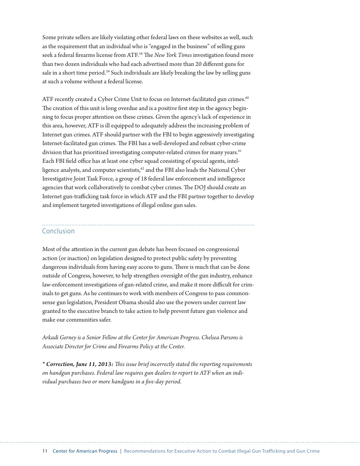Some private sellers are likely violating other federal laws on these websites as well, such as the requirement that an individual who is "engaged in the business" of selling guns seek a federal firearms license from ATF.58 The *New York Times* investigation found more than two dozen individuals who had each advertised more than 20 different guns for sale in a short time period.<sup>59</sup> Such individuals are likely breaking the law by selling guns at such a volume without a federal license.

ATF recently created a Cyber Crime Unit to focus on Internet-facilitated gun crimes.<sup>60</sup> The creation of this unit is long overdue and is a positive first step in the agency beginning to focus proper attention on these crimes. Given the agency's lack of experience in this area, however, ATF is ill equipped to adequately address the increasing problem of Internet gun crimes. ATF should partner with the FBI to begin aggressively investigating Internet-facilitated gun crimes. The FBI has a well-developed and robust cyber-crime division that has prioritized investigating computer-related crimes for many years.<sup>61</sup> Each FBI field office has at least one cyber squad consisting of special agents, intelligence analysts, and computer scientists,<sup>62</sup> and the FBI also leads the National Cyber Investigative Joint Task Force, a group of 18 federal law enforcement and intelligence agencies that work collaboratively to combat cyber crimes. The DOJ should create an Internet gun-trafficking task force in which ATF and the FBI partner together to develop and implement targeted investigations of illegal online gun sales.

#### Conclusion

Most of the attention in the current gun debate has been focused on congressional action (or inaction) on legislation designed to protect public safety by preventing dangerous individuals from having easy access to guns. There is much that can be done outside of Congress, however, to help strengthen oversight of the gun industry, enhance law-enforcement investigations of gun-related crime, and make it more difficult for criminals to get guns. As he continues to work with members of Congress to pass commonsense gun legislation, President Obama should also use the powers under current law granted to the executive branch to take action to help prevent future gun violence and make our communities safer.

*Arkadi Gerney is a Senior Fellow at the Center for American Progress. Chelsea Parsons is Associate Director for Crime and Firearms Policy at the Center.*

*\* Correction, June 11, 2013: This issue brief incorrectly stated the reporting requirements on handgun purchases. Federal law requires gun dealers to report to ATF when an individual purchases two or more handguns in a five-day period.*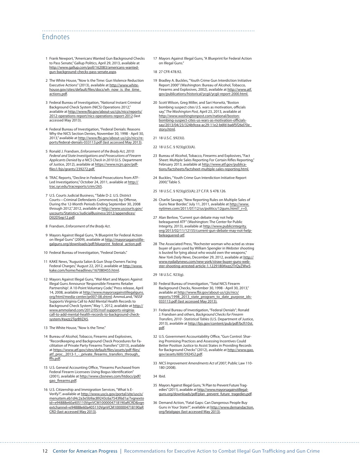#### Endnotes

- 1 Frank Newport, "Americans Wanted Gun Background Checks to Pass Senate," Gallup Politics, April 29, 2013, available at [http://www.gallup.com/poll/162083/americans-wanted](http://www.gallup.com/poll/162083/americans-wanted-gun-background-checks-pass-senate.aspx)[gun-background-checks-pass-senate.aspx.](http://www.gallup.com/poll/162083/americans-wanted-gun-background-checks-pass-senate.aspx)
- 2 The White House, "Now Is the Time: Gun Violence Reduction Executive Actions" (2013), available at [http://www.white](http://www.whitehouse.gov/sites/default/files/docs/wh_now_is_the_time_actions.pdf)house.gov/sites/default/files/docs/wh\_now\_is\_the\_time [actions.pdf.](http://www.whitehouse.gov/sites/default/files/docs/wh_now_is_the_time_actions.pdf)
- 3 Federal Bureau of Investigation, "National Instant Criminal Background Check System (NICS) Operations 2012," available at [http://www.fbi.gov/about-us/cjis/nics/reports/](http://www.fbi.gov/about-us/cjis/nics/reports/2012-operations-report/nics-operations-report-2012) [2012-operations-report/nics-operations-report-2012](http://www.fbi.gov/about-us/cjis/nics/reports/2012-operations-report/nics-operations-report-2012) (last accessed May 2013).
- 4 Federal Bureau of Investigation, "Federal Denials: Reasons Why the NICS Section Denies, November 30, 1998 - April 30, 2013," available at [http://www.fbi.gov/about-us/cjis/nics/re](http://www.fbi.gov/about-us/cjis/nics/reports/federal-denials-033113.pdf)[ports/federal-denials-033113.pdf](http://www.fbi.gov/about-us/cjis/nics/reports/federal-denials-033113.pdf) (last accessed May 2013).
- 5 Ronald J. Frandsen, *Enforcement of the Brady Act, 2010: Federal and State Investigations and Prosecutions of Firearm Applicants Denied by a NICS Check in 2010* (U.S. Department of Justice, 2012), available at [https://www.ncjrs.gov/pdf](https://www.ncjrs.gov/pdffiles1/bjs/grants/239272.pdf)[files1/bjs/grants/239272.pdf](https://www.ncjrs.gov/pdffiles1/bjs/grants/239272.pdf).
- 6 TRAC Reports, "Decline in Federal Prosecutions from ATF-Led Investigations," October 24, 2011, available at [http://](http://trac.syr.edu/tracreports/crim/265) [trac.syr.edu/tracreports/crim/265](http://trac.syr.edu/tracreports/crim/265).
- 7 U.S. Courts Judicial Business, "Table D-2. U.S. District Courts—Criminal Defendants Commenced, by Offense, During the 12-Month Periods Ending September 30, 2008 through 2012," 2012, available at [http://www.uscourts.gov/](http://www.uscourts.gov/uscourts/Statistics/JudicialBusiness/2012/appendices/D02DSep12.pdf) [uscourts/Statistics/JudicialBusiness/2012/appendices/](http://www.uscourts.gov/uscourts/Statistics/JudicialBusiness/2012/appendices/D02DSep12.pdf) [D02DSep12.pdf.](http://www.uscourts.gov/uscourts/Statistics/JudicialBusiness/2012/appendices/D02DSep12.pdf)
- 8 Frandsen, *Enforcement of the Brady Act*.
- 9 Mayors Against Illegal Guns, "A Blueprint for Federal Action on Illegal Guns" (2009), available at [http://mayorsagainstille](http://mayorsagainstillegalguns.org/downloads/pdf/blueprint_federal_action.pdf)[galguns.org/downloads/pdf/blueprint\\_federal\\_action.pdf](http://mayorsagainstillegalguns.org/downloads/pdf/blueprint_federal_action.pdf).
- 10 Federal Bureau of Investigation, "Federal Denials."
- 11 KAKE News, "Augusta Salon & Gun Shop Owners Facing Federal Charges," August 22, 2012, available at [http://www.](http://www.kake.com/home/headlines/167080455.html) [kake.com/home/headlines/167080455.html](http://www.kake.com/home/headlines/167080455.html).
- 12 Mayors Against Illegal Guns, "Wal-Mart and Mayors Against Illegal Guns Announce 'Responsible Firearms Retailer Partnership': A 10-Point Voluntary Code," Press release, April 14, 2008, available at [http://www.mayorsagainstillegalguns.](http://www.mayorsagainstillegalguns.org/html/media-center/pr007-08.shtml) [org/html/media-center/pr007-08.shtml](http://www.mayorsagainstillegalguns.org/html/media-center/pr007-08.shtml); AmmoLand, "NSSF Supports Virginia Call to Add Mental Health Records to Background Check System," May 1, 2012, available at http:// www.ammoland.com/2012/05/nssf-supports-virginiacall-to-add-mental-health-records-to-background-checksystem/#axzz2TqrB9ZA5.
- 13 The White House, "Now Is the Time."
- 14 Bureau of Alcohol, Tobacco, Firearms and Explosives, "Recordkeeping and Background Check Procedures for Facilitation of Private Party Firearms Transfers" (2013), available at [https://www.atf.gov/sites/default/files/assets/pdf-files/](https://www.atf.gov/sites/default/files/assets/pdf-files/atf_proc._2013-1_-_private_firearms_transfers_through_ffls.pdf) [atf\\_proc.\\_2013-1\\_-\\_private\\_firearms\\_transfers\\_through\\_](https://www.atf.gov/sites/default/files/assets/pdf-files/atf_proc._2013-1_-_private_firearms_transfers_through_ffls.pdf) [ffls.pdf](https://www.atf.gov/sites/default/files/assets/pdf-files/atf_proc._2013-1_-_private_firearms_transfers_through_ffls.pdf).
- 15 U.S. General Accounting Office, "Firearms Purchased from Federal Firearm Licensees Using Bogus Identification" (2001), available at [http://www.cbsnews.com/htdocs/pdf/](http://www.cbsnews.com/htdocs/pdf/gao_firearms.pdf) [gao\\_firearms.pdf.](http://www.cbsnews.com/htdocs/pdf/gao_firearms.pdf)
- 16 U.S. Citizenship and Immigration Services, "What Is E-Verify?", available at [http://www.uscis.gov/portal/site/uscis/](http://www.uscis.gov/portal/site/uscis/menuitem.eb1d4c2a3e5b9ac89243c6a7543f6d1a/?vgnextoid=e94888e60a405110VgnVCM1000004718190aRCRD&vgnextchannel=e94888e60a405110VgnVCM1000004718190aRCRD) [menuitem.eb1d4c2a3e5b9ac89243c6a7543f6d1a/?vgnexto](http://www.uscis.gov/portal/site/uscis/menuitem.eb1d4c2a3e5b9ac89243c6a7543f6d1a/?vgnextoid=e94888e60a405110VgnVCM1000004718190aRCRD&vgnextchannel=e94888e60a405110VgnVCM1000004718190aRCRD) [id=e94888e60a405110VgnVCM1000004718190aRCRD&vgn](http://www.uscis.gov/portal/site/uscis/menuitem.eb1d4c2a3e5b9ac89243c6a7543f6d1a/?vgnextoid=e94888e60a405110VgnVCM1000004718190aRCRD&vgnextchannel=e94888e60a405110VgnVCM1000004718190aRCRD) [extchannel=e94888e60a405110VgnVCM1000004718190aR](http://www.uscis.gov/portal/site/uscis/menuitem.eb1d4c2a3e5b9ac89243c6a7543f6d1a/?vgnextoid=e94888e60a405110VgnVCM1000004718190aRCRD&vgnextchannel=e94888e60a405110VgnVCM1000004718190aRCRD) [CRD](http://www.uscis.gov/portal/site/uscis/menuitem.eb1d4c2a3e5b9ac89243c6a7543f6d1a/?vgnextoid=e94888e60a405110VgnVCM1000004718190aRCRD&vgnextchannel=e94888e60a405110VgnVCM1000004718190aRCRD) (last accessed May 2013).
- 17 Mayors Against Illegal Guns, "A Blueprint for Federal Action on Illegal Guns."
- 18 27 CFR 478.92.

- 19 Bradley A. Buckles, "Youth Crime Gun Interdiction Initiative Report 2000" (Washington: Bureau of Alcohol, Tobacco, Firearms and Explosives, 2002), available at [http://www.atf.](http://www.atf.gov/publications/historical/ycgii/ycgii-report-2000.html) [gov/publications/historical/ycgii/ycgii-report-2000.html.](http://www.atf.gov/publications/historical/ycgii/ycgii-report-2000.html)
- 20 Scott Wilson, Greg Miller, and Sari Horwitz, "Boston bombing suspect cites U.S. wars as motivation, officials say," *The Washington Post,* April 23, 2013, available at [http://www.washingtonpost.com/national/boston](http://www.washingtonpost.com/national/boston-bombing-suspect-cites-us-wars-as-motivation-officials-say/2013/04/23/324b9cea-ac29-11e2-b6fd-ba6f5f26d70e_story.html)[bombing-suspect-cites-us-wars-as-motivation-officials](http://www.washingtonpost.com/national/boston-bombing-suspect-cites-us-wars-as-motivation-officials-say/2013/04/23/324b9cea-ac29-11e2-b6fd-ba6f5f26d70e_story.html)[say/2013/04/23/324b9cea-ac29-11e2-b6fd-ba6f5f26d70e\\_](http://www.washingtonpost.com/national/boston-bombing-suspect-cites-us-wars-as-motivation-officials-say/2013/04/23/324b9cea-ac29-11e2-b6fd-ba6f5f26d70e_story.html) [story.html.](http://www.washingtonpost.com/national/boston-bombing-suspect-cites-us-wars-as-motivation-officials-say/2013/04/23/324b9cea-ac29-11e2-b6fd-ba6f5f26d70e_story.html)
- 21 18 U.S.C. §923(i).
- 22 18 U.S.C. § 923(g)(3)(A).
- 23 Bureau of Alcohol, Tobacco, Firearms and Explosives, "Fact Sheet: Multiple Sales Reporting For Certain Rifles Reporting," February 2013, available at [http://www.atf.gov/publica](http://www.atf.gov/publications/factsheets/factsheet-multiple-sales-reporting.html)[tions/factsheets/factsheet-multiple-sales-reporting.html](http://www.atf.gov/publications/factsheets/factsheet-multiple-sales-reporting.html).
- 24 Buckles, "Youth Crime Gun Interdiction Initiative Report 2000," Table 5.
- 25 18 U.S.C. § 923(g)(5)(A); 27 C.F.R. § 478.126.
- 26 Charlie Savage, "New Reporting Rules on Multiple Sales of Guns Near Border," July 11, 2011, available at [http://www.](http://www.nytimes.com/2011/07/12/us/politics/12guns.html?_r=0) [nytimes.com/2011/07/12/us/politics/12guns.html?\\_r=0.](http://www.nytimes.com/2011/07/12/us/politics/12guns.html?_r=0)
- 27 Alan Berlow, "Current gun debate may not help beleaguered ATF" (Washington: The Center for Public Integrity, 2013), available at [http://www.publicintegrity.](http://www.publicintegrity.org/2013/02/11/12155/current-gun-debate-may-not-help-beleaguered-atf) [org/2013/02/11/12155/current-gun-debate-may-not-help](http://www.publicintegrity.org/2013/02/11/12155/current-gun-debate-may-not-help-beleaguered-atf)[beleaguered-atf.](http://www.publicintegrity.org/2013/02/11/12155/current-gun-debate-may-not-help-beleaguered-atf)
- 28 The Associated Press, "Rochester woman who acted as straw buyer of guns used by William Spengler in Webster shooting is busted for lying about who would own the weapons," *New York Daily News, December 29, 2012, available at http://* www.nydailynews.com/new-york/straw-buyer-guns-webster-shooting-arrested-article-1.1229180#ixzz2TrQyZWw5.
- 29 18 U.S.C. 923(g).
- 30 Federal Bureau of Investigation, "Total NICS Firearm Background Checks, November 30, 1998 - April 30, 2013," available at [http://www.fbi.gov/about-us/cjis/nics/](http://www.fbi.gov/about-us/cjis/nics/reports/1998_2013_state_program_to_date_purpose_ids-033113.pdf) [reports/1998\\_2013\\_state\\_program\\_to\\_date\\_purpose\\_ids-](http://www.fbi.gov/about-us/cjis/nics/reports/1998_2013_state_program_to_date_purpose_ids-033113.pdf)[033113.pdf](http://www.fbi.gov/about-us/cjis/nics/reports/1998_2013_state_program_to_date_purpose_ids-033113.pdf) (last accessed May 2013).
- 31 Federal Bureau of Investigation, "Federal Denials"; Ronald J. Frandsen and others, *Background Checks for Firearm Transfers, 2010 - Statistical Tables* (U.S. Department of Justice, 2013), available at [http://bjs.gov/content/pub/pdf/bcft10st.](http://bjs.gov/content/pub/pdf/bcft10st.pdf) [pdf](http://bjs.gov/content/pub/pdf/bcft10st.pdf).
- 32 U.S. Government Accountability Office, "Gun Control: Sharing Promising Practices and Assessing Incentives Could Better Position Justice to Assist States in Providing Records for Background Checks" (2012), available at [http://www.gao.](http://www.gao.gov/assets/600/592452.pdf) [gov/assets/600/592452.pdf.](http://www.gao.gov/assets/600/592452.pdf)
- 33 *NICS Improvement Amendments Act of 2007*, Public Law 110- 180 (2008).
- 34 Ibid.
- 35 Mayors Against Illegal Guns, "A Plan to Prevent Future Tragedies" (2011), available at [http://www.mayorsagainstillegal](http://www.mayorsagainstillegalguns.org/downloads/pdf/plan_prevent_future_tragedies.pdf)[guns.org/downloads/pdf/plan\\_prevent\\_future\\_tragedies.pdf.](http://www.mayorsagainstillegalguns.org/downloads/pdf/plan_prevent_future_tragedies.pdf)
- 36 Demand Action, "Fatal Gaps: Can Dangerous People Buy Guns in Your State?", available at [http://www.demandaction.](http://www.demandaction.org/fatalgaps) [org/fatalgaps](http://www.demandaction.org/fatalgaps) (last accessed May 2013).